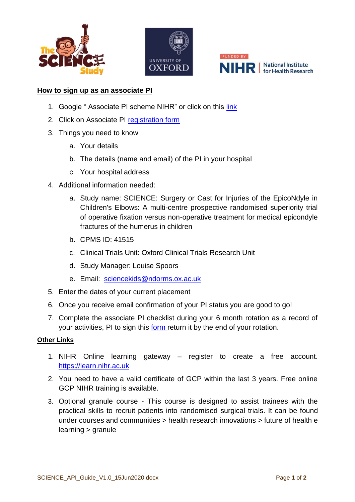





## **How to sign up as an associate PI**

- 1. Google "Associate PI scheme NIHR" or click on this [link](https://www.nihr.ac.uk/documents/associate-principal-investigator-pi-scheme/25040)
- 2. Click on Associate PI [registration form](https://docs.google.com/forms/d/e/1FAIpQLScv5XTwVbbRNXhru1jDU70u1bE8xw3UaHW2XCoYmQ4FIXgcvQ/viewform)
- 3. Things you need to know
	- a. Your details
	- b. The details (name and email) of the PI in your hospital
	- c. Your hospital address
- 4. Additional information needed:
	- a. Study name: SCIENCE: Surgery or Cast for Injuries of the EpicoNdyle in Children's Elbows: A multi-centre prospective randomised superiority trial of operative fixation versus non-operative treatment for medical epicondyle fractures of the humerus in children
	- b. CPMS ID: 41515
	- c. Clinical Trials Unit: Oxford Clinical Trials Research Unit
	- d. Study Manager: Louise Spoors
	- e. Email: [sciencekids@ndorms.ox.ac.uk](mailto:Wax@ndorms.ox.ac.uk)
- 5. Enter the dates of your current placement
- 6. Once you receive email confirmation of your PI status you are good to go!
- 7. Complete the associate PI checklist during your 6 month rotation as a record of your activities, PI to sign this [form](https://docs.google.com/document/d/12GQC3qLWizrAJj4wWlZw5oc0UCYdhPvR86TcQIr0zBs/edit) return it by the end of your rotation.

## **Other Links**

- 1. NIHR Online learning gateway register to create a free account. [https://learn.nihr.ac.uk](https://learn.nihr.ac.uk/)
- 2. You need to have a valid certificate of GCP within the last 3 years. Free online GCP NIHR training is available.
- 3. Optional granule course This course is designed to assist trainees with the practical skills to recruit patients into randomised surgical trials. It can be found under courses and communities > health research innovations > future of health e learning > granule